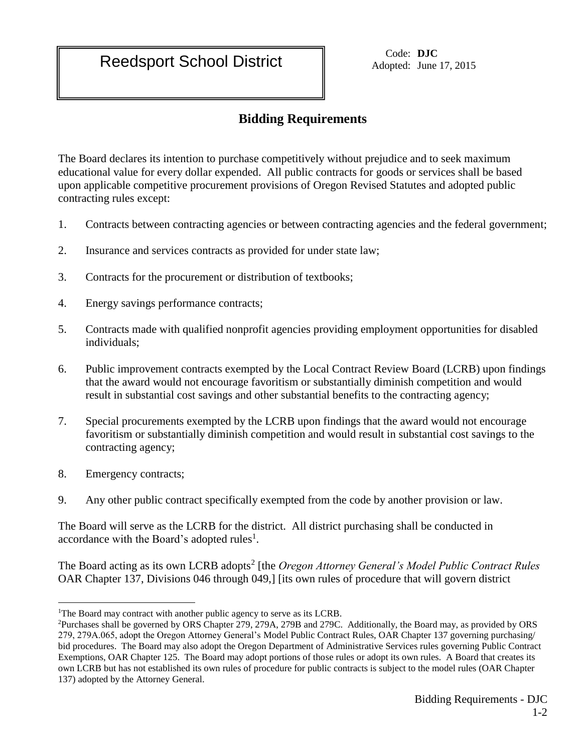Adopted: June 17, 2015

## **Bidding Requirements**

The Board declares its intention to purchase competitively without prejudice and to seek maximum educational value for every dollar expended. All public contracts for goods or services shall be based upon applicable competitive procurement provisions of Oregon Revised Statutes and adopted public contracting rules except:

- 1. Contracts between contracting agencies or between contracting agencies and the federal government;
- 2. Insurance and services contracts as provided for under state law;
- 3. Contracts for the procurement or distribution of textbooks;
- 4. Energy savings performance contracts;
- 5. Contracts made with qualified nonprofit agencies providing employment opportunities for disabled individuals;
- 6. Public improvement contracts exempted by the Local Contract Review Board (LCRB) upon findings that the award would not encourage favoritism or substantially diminish competition and would result in substantial cost savings and other substantial benefits to the contracting agency;
- 7. Special procurements exempted by the LCRB upon findings that the award would not encourage favoritism or substantially diminish competition and would result in substantial cost savings to the contracting agency;
- 8. Emergency contracts;

 $\overline{a}$ 

9. Any other public contract specifically exempted from the code by another provision or law.

The Board will serve as the LCRB for the district. All district purchasing shall be conducted in accordance with the Board's adopted rules<sup>1</sup>.

The Board acting as its own LCRB adopts<sup>2</sup> [the *Oregon Attorney General's Model Public Contract Rules* OAR Chapter 137, Divisions 046 through 049,] [its own rules of procedure that will govern district

<sup>&</sup>lt;sup>1</sup>The Board may contract with another public agency to serve as its LCRB.

<sup>2</sup>Purchases shall be governed by ORS Chapter 279, 279A, 279B and 279C. Additionally, the Board may, as provided by ORS 279, 279A.065, adopt the Oregon Attorney General's Model Public Contract Rules, OAR Chapter 137 governing purchasing/ bid procedures. The Board may also adopt the Oregon Department of Administrative Services rules governing Public Contract Exemptions, OAR Chapter 125. The Board may adopt portions of those rules or adopt its own rules. A Board that creates its own LCRB but has not established its own rules of procedure for public contracts is subject to the model rules (OAR Chapter 137) adopted by the Attorney General.